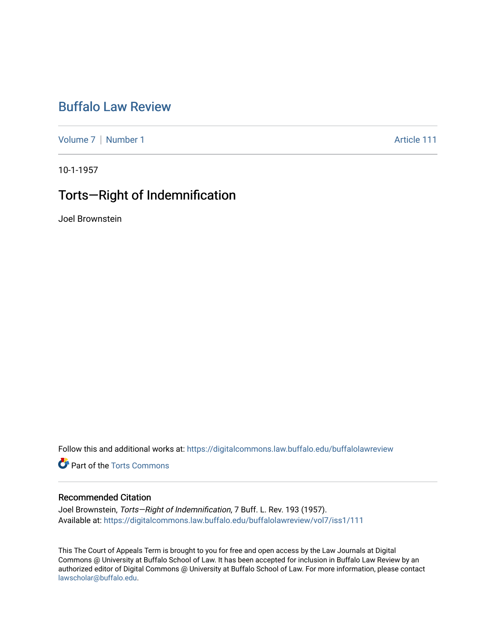## [Buffalo Law Review](https://digitalcommons.law.buffalo.edu/buffalolawreview)

[Volume 7](https://digitalcommons.law.buffalo.edu/buffalolawreview/vol7) | [Number 1](https://digitalcommons.law.buffalo.edu/buffalolawreview/vol7/iss1) Article 111

10-1-1957

# Torts—Right of Indemnification

Joel Brownstein

Follow this and additional works at: [https://digitalcommons.law.buffalo.edu/buffalolawreview](https://digitalcommons.law.buffalo.edu/buffalolawreview?utm_source=digitalcommons.law.buffalo.edu%2Fbuffalolawreview%2Fvol7%2Fiss1%2F111&utm_medium=PDF&utm_campaign=PDFCoverPages) 

**P** Part of the [Torts Commons](http://network.bepress.com/hgg/discipline/913?utm_source=digitalcommons.law.buffalo.edu%2Fbuffalolawreview%2Fvol7%2Fiss1%2F111&utm_medium=PDF&utm_campaign=PDFCoverPages)

## Recommended Citation

Joel Brownstein, Torts—Right of Indemnification, 7 Buff. L. Rev. 193 (1957). Available at: [https://digitalcommons.law.buffalo.edu/buffalolawreview/vol7/iss1/111](https://digitalcommons.law.buffalo.edu/buffalolawreview/vol7/iss1/111?utm_source=digitalcommons.law.buffalo.edu%2Fbuffalolawreview%2Fvol7%2Fiss1%2F111&utm_medium=PDF&utm_campaign=PDFCoverPages)

This The Court of Appeals Term is brought to you for free and open access by the Law Journals at Digital Commons @ University at Buffalo School of Law. It has been accepted for inclusion in Buffalo Law Review by an authorized editor of Digital Commons @ University at Buffalo School of Law. For more information, please contact [lawscholar@buffalo.edu](mailto:lawscholar@buffalo.edu).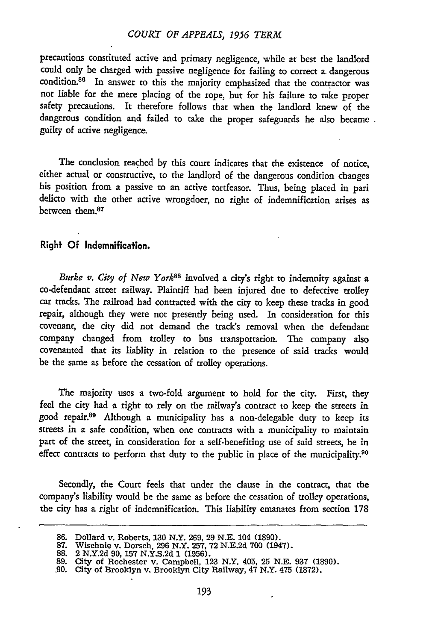#### *COURT OF APPEALS, 1956 TERM*

precautions constituted active and primary negligence, while at best the landlord could only be charged with passive negligence for failing to correct a. dangerous condition.<sup>86</sup> In answer to this the majority emphasized that the contractor was not liable for the mere placing of the rope, but for his failure to take proper safety precautions. It therefore follows that when the landlord knew of the dangerous condition and failed to take the proper safeguards he also became guilty of active negligence.

The conclusion reached by this court indicates that the existence of notice, either actual or constructive, to the landlord of the dangerous condition changes his position from a passive to an active tortfeasor. Thus, being placed in pari delicto with the other active wrongdoer, no right of indemnification arises as between them.87

## **Right Of** Indemnification.

Burke v. City of New York<sup>88</sup> involved a city's right to indemnity against a co-defendant street railway. Plaintiff had been injured due to defective trolley car tracks. The railroad had contracted with the city to keep these tracks in **good** repair, although they were not presently being used. In consideration for this covenant, the city did not demand the track's removal when the defendant company changed from trolley to bus transportation. The company also covenanted that its liablity in relation to the presence of said tracks would be the same as before the cessation of trolley operations.

The majority uses a two-fold argument to hold for the city. First, they feel the city had a right to rely on the railway's contract to keep the streets in good repair.89 Although a municipality has a non-delegable duty to keep its streets in a safe condition, when one contracts with a municipality to maintain part of the street, in consideration for a self-benefiting use of said streets, he in effect contracts to perform that duty to the public in place of the municipality.<sup>90</sup>

Secondly, the Court feels that under the clause in the contract, that the company's liability would be the same as before the cessation of trolley operations, the city has a right of indemnification. This liability emanates from section **178**

<sup>86.</sup> Dollard v. Roberts, 130 N.Y. 269, 29 N.E. 104 (1890).<br>87. Wischnie v. Dorsch, 296 N.Y. 257, 72 N.E.2d 700 (1947).<br>88. 2 N.Y.2d 90, 157 N.Y.S.2d 1 (1956).<br>89. City of Rochester v. Campbell, 123 N.Y. 405, 25 N.E. 937 (18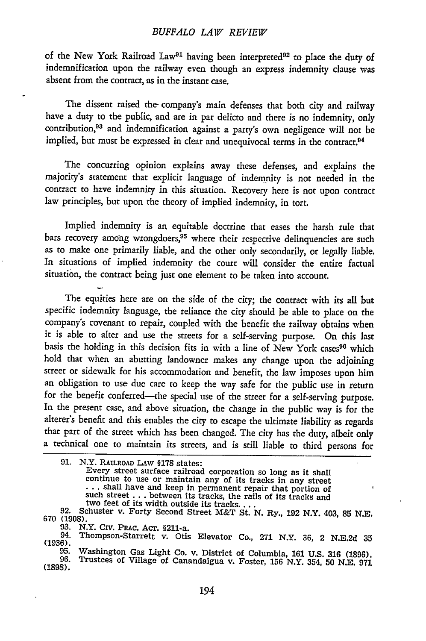#### *BUFFALO LAW REVIEW*

of the New York Railroad Law<sup>91</sup> having been interpreted<sup>92</sup> to place the duty of indemnification upon the railway even though an express indemnity clause was absent from the contract, as in the instant case.

The dissent raised the- company's main defenses that both city and railway have a duty to the public, and are in par delicto and there is no indemnity, only contribution,<sup>93</sup> and indemnification against a party's own negligence will not be implied, but must be expressed in clear and unequivocal terms in the contract.<sup>94</sup>

The concurring opinion explains away these defenses, and explains the majority's statement that explicit language of indemnity is not needed in the contract to have indemnity in this situation. Recovery here is not upon contract law principles, but upon the theory of implied indemnity, in tort.

Implied indemnity is an equitable doctrine that eases the harsh rule that bars recovery among wrongdoers,<sup>95</sup> where their respective delinquencies are such as to make one primarily liable, and the other only secondarily, or legally liable. In situations of implied indemnity the court will consider the entire factual situation, the contract being just one element to be taken into account.

The equities here are on the side of the city; the contract with its all but specific indemnity language, the reliance the city should be able to place on the company's covenant to repair, coupled with the benefit the railway obtains when it is able to alter and use the streets for a self-serving purpose. On this last basis the holding in this decision fits in with a line of New York cases<sup>96</sup> which hold that when an abutting landowner makes any change upon the adjoining street or sidewalk for his accommodation and benefit, the law imposes upon him an obligation to use due care to keep the way safe for the public use in return for the benefit conferred-the special use of the street for a self-serving purpose. In the present case, and above situation, the change in the public way is for the alterer's benefit and this enables the city to escape the ultimate liability as regards that part of the street which has been changed. The city has the duty, albeit only a technical one to maintain its streets, and is still liable to third persons for

**<sup>91.</sup>** N.Y. RAILROAD **LAW §178** states: Every street surface railroad corporation so long as it shall continue to use or maintain any of its tracks in any street **...** shall have and keep in permanent repair that portion of ... Such street *...* between its tracks, the rails of its tracks and two feet of its width outside its tracks....

<sup>92.</sup> Schuster v. Forty Second Street M&T St. *N.* Ry., 192 N.Y. 403, **85** N.E. 670 (1908).

<sup>93.</sup> N.Y. Civ. PRAc. AcT. §211-a.

<sup>94.</sup> Thompson-Starrett v. Otis Elevator Co., **271** N.Y. **36,** 2 N.E.2d **<sup>35</sup>**

<sup>(1936).</sup> **95.** Washington Gas Light Co. v. District of Columbia, 161 **U.S.** 316 (1896). 96. Trustees of Village of Canandaigua v. Foster, **156** N.Y. 354, **50** N.E. 971 (1898).